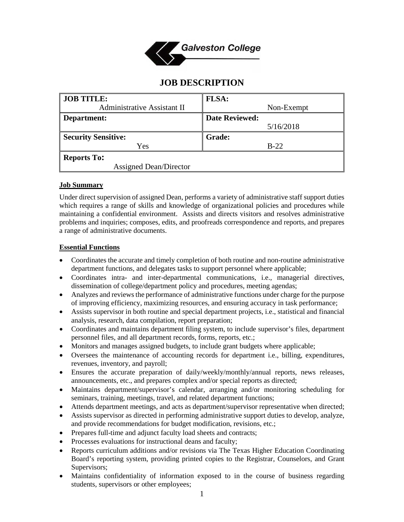

# **JOB DESCRIPTION**

| <b>JOB TITLE:</b>                  | <b>FLSA:</b>          |
|------------------------------------|-----------------------|
| <b>Administrative Assistant II</b> | Non-Exempt            |
| Department:                        | <b>Date Reviewed:</b> |
|                                    | 5/16/2018             |
| <b>Security Sensitive:</b>         | <b>Grade:</b>         |
| Yes                                | $B-22$                |
| <b>Reports To:</b>                 |                       |
| <b>Assigned Dean/Director</b>      |                       |

#### **Job Summary**

Under direct supervision of assigned Dean, performs a variety of administrative staff support duties which requires a range of skills and knowledge of organizational policies and procedures while maintaining a confidential environment. Assists and directs visitors and resolves administrative problems and inquiries; composes, edits, and proofreads correspondence and reports, and prepares a range of administrative documents.

#### **Essential Functions**

- Coordinates the accurate and timely completion of both routine and non-routine administrative department functions, and delegates tasks to support personnel where applicable;
- Coordinates intra- and inter-departmental communications, i.e., managerial directives, dissemination of college/department policy and procedures, meeting agendas;
- Analyzes and reviews the performance of administrative functions under charge for the purpose of improving efficiency, maximizing resources, and ensuring accuracy in task performance;
- Assists supervisor in both routine and special department projects, i.e., statistical and financial analysis, research, data compilation, report preparation;
- Coordinates and maintains department filing system, to include supervisor's files, department personnel files, and all department records, forms, reports, etc.;
- Monitors and manages assigned budgets, to include grant budgets where applicable;
- Oversees the maintenance of accounting records for department i.e., billing, expenditures, revenues, inventory, and payroll;
- Ensures the accurate preparation of daily/weekly/monthly/annual reports, news releases, announcements, etc., and prepares complex and/or special reports as directed;
- Maintains department/supervisor's calendar, arranging and/or monitoring scheduling for seminars, training, meetings, travel, and related department functions;
- Attends department meetings, and acts as department/supervisor representative when directed;
- Assists supervisor as directed in performing administrative support duties to develop, analyze, and provide recommendations for budget modification, revisions, etc.;
- Prepares full-time and adjunct faculty load sheets and contracts;
- Processes evaluations for instructional deans and faculty;
- Reports curriculum additions and/or revisions via The Texas Higher Education Coordinating Board's reporting system, providing printed copies to the Registrar, Counselors, and Grant Supervisors;
- Maintains confidentiality of information exposed to in the course of business regarding students, supervisors or other employees;